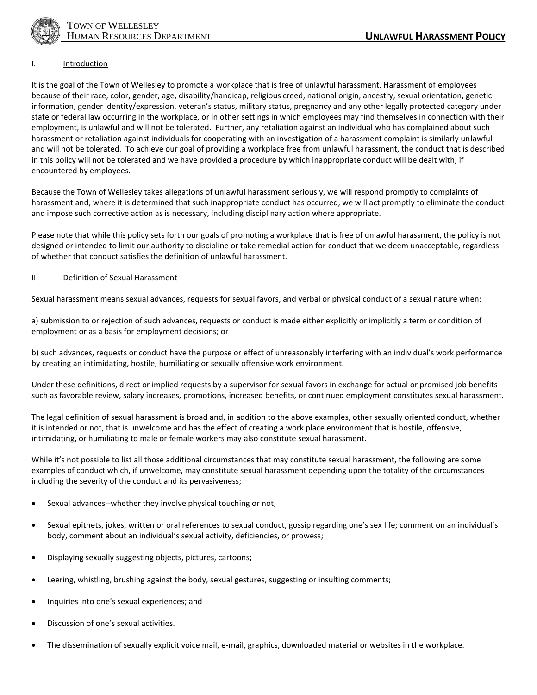

#### I. Introduction

It is the goal of the Town of Wellesley to promote a workplace that is free of unlawful harassment. Harassment of employees because of their race, color, gender, age, disability/handicap, religious creed, national origin, ancestry, sexual orientation, genetic information, gender identity/expression, veteran's status, military status, pregnancy and any other legally protected category under state or federal law occurring in the workplace, or in other settings in which employees may find themselves in connection with their employment, is unlawful and will not be tolerated. Further, any retaliation against an individual who has complained about such harassment or retaliation against individuals for cooperating with an investigation of a harassment complaint is similarly unlawful and will not be tolerated. To achieve our goal of providing a workplace free from unlawful harassment, the conduct that is described in this policy will not be tolerated and we have provided a procedure by which inappropriate conduct will be dealt with, if encountered by employees.

Because the Town of Wellesley takes allegations of unlawful harassment seriously, we will respond promptly to complaints of harassment and, where it is determined that such inappropriate conduct has occurred, we will act promptly to eliminate the conduct and impose such corrective action as is necessary, including disciplinary action where appropriate.

Please note that while this policy sets forth our goals of promoting a workplace that is free of unlawful harassment, the policy is not designed or intended to limit our authority to discipline or take remedial action for conduct that we deem unacceptable, regardless of whether that conduct satisfies the definition of unlawful harassment.

#### II. Definition of Sexual Harassment

Sexual harassment means sexual advances, requests for sexual favors, and verbal or physical conduct of a sexual nature when:

a) submission to or rejection of such advances, requests or conduct is made either explicitly or implicitly a term or condition of employment or as a basis for employment decisions; or

b) such advances, requests or conduct have the purpose or effect of unreasonably interfering with an individual's work performance by creating an intimidating, hostile, humiliating or sexually offensive work environment.

Under these definitions, direct or implied requests by a supervisor for sexual favors in exchange for actual or promised job benefits such as favorable review, salary increases, promotions, increased benefits, or continued employment constitutes sexual harassment.

The legal definition of sexual harassment is broad and, in addition to the above examples, other sexually oriented conduct, whether it is intended or not, that is unwelcome and has the effect of creating a work place environment that is hostile, offensive, intimidating, or humiliating to male or female workers may also constitute sexual harassment.

While it's not possible to list all those additional circumstances that may constitute sexual harassment, the following are some examples of conduct which, if unwelcome, may constitute sexual harassment depending upon the totality of the circumstances including the severity of the conduct and its pervasiveness;

- Sexual advances--whether they involve physical touching or not;
- Sexual epithets, jokes, written or oral references to sexual conduct, gossip regarding one's sex life; comment on an individual's body, comment about an individual's sexual activity, deficiencies, or prowess;
- Displaying sexually suggesting objects, pictures, cartoons;
- Leering, whistling, brushing against the body, sexual gestures, suggesting or insulting comments;
- Inquiries into one's sexual experiences; and
- Discussion of one's sexual activities.
- The dissemination of sexually explicit voice mail, e-mail, graphics, downloaded material or websites in the workplace.